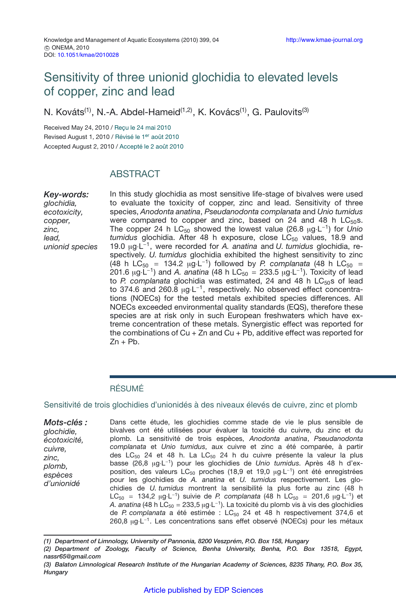# Sensitivity of three unionid glochidia to elevated levels of copper, zinc and lead

N. Kováts<sup>(1)</sup>, N.-A. Abdel-Hameid<sup>(1,2)</sup>, K. Kovács<sup>(1)</sup>, G. Paulovits<sup>(3)</sup>

Received May 24, 2010 / Reçu le 24 mai 2010 Revised August 1, 2010 / Révisé le 1<sup>er</sup> août 2010 Accepted August 2, 2010 / Accepté le 2 août 2010

## **ABSTRACT**

*Key-words: glochidia, ecotoxicity, copper, zinc, lead, unionid species* In this study glochidia as most sensitive life-stage of bivalves were used to evaluate the toxicity of copper, zinc and lead. Sensitivity of three species, *Anodonta anatina*, *Pseudanodonta complanata* and *Unio tumidus* were compared to copper and zinc, based on 24 and 48 h  $LC_{50}$ s. The copper 24 h LC<sub>50</sub> showed the lowest value (26.8 μg⋅L<sup>-1</sup>) for *Unio tumidus* glochidia. After 48 h exposure, close LC<sub>50</sub> values, 18.9 and 19.0 <sup>µ</sup>g·L−1, were recorded for *A. anatina* and *U. tumidus* glochidia, respectively. *U. tumidus* glochidia exhibited the highest sensitivity to zinc (48 h LC<sub>50</sub> = 134.2 µg⋅L<sup>-1</sup>) followed by *P. complanata* (48 h LC<sub>50</sub> = 201.6  $\mu$ g·L<sup>-1</sup>) and *A. anatina* (48 h LC<sub>50</sub> = 233.5  $\mu$ g·L<sup>-1</sup>). Toxicity of lead to *P. complanata* glochidia was estimated, 24 and 48 h LC<sub>50</sub>s of lead to 374.6 and 260.8 µg⋅L<sup>-1</sup>, respectively. No observed effect concentrations (NOECs) for the tested metals exhibited species differences. All NOECs exceeded environmental quality standards (EQS), therefore these species are at risk only in such European freshwaters which have extreme concentration of these metals. Synergistic effect was reported for the combinations of  $Cu + Zn$  and  $Cu + Pb$ , additive effect was reported for  $Zn + Pb$ .

### RÉSUMÉ

#### Sensitivité de trois glochidies d'unionidés à des niveaux élevés de cuivre, zinc et plomb

*Mots-clés : glochidie, écotoxicité, cuivre, zinc, plomb, espèces d'unionidé* Dans cette étude, les glochidies comme stade de vie le plus sensible de bivalves ont été utilisées pour évaluer la toxicité du cuivre, du zinc et du plomb. La sensitivité de trois espèces, *Anodonta anatina*, *Pseudanodonta complanata* et *Unio tumidus*, aux cuivre et zinc a été comparée, à partir des LC<sub>50</sub> 24 et 48 h. La LC<sub>50</sub> 24 h du cuivre présente la valeur la plus basse (26,8 µg·L−1) pour les glochidies de *Unio tumidus*. Après 48 h d'exposition, des valeurs LC<sub>50</sub> proches (18,9 et 19,0 μg·L<sup>-1</sup>) ont été enregistrées pour les glochidies de *A. anatina* et *U. tumidus* respectivement. Les glochidies de *U. tumidus* montrent la sensibilité la plus forte au zinc (48 h LC<sub>50</sub> = 134,2 μg·L<sup>-1</sup>) suivie de *P. complanata* (48 h LC<sub>50</sub> = 201,6 μg·L<sup>-1</sup>) et *A. anatina* (48 h LC<sub>50</sub> = 233,5 μg⋅L<sup>-1</sup>). La toxicité du plomb vis à vis des glochidies de *P. complanata* a été estimée : LC<sub>50</sub> 24 et 48 h respectivement 374,6 et 260,8 µg·L<sup>-1</sup>. Les concentrations sans effet observé (NOECs) pour les métaux

*<sup>(1)</sup> Department of Limnology, University of Pannonia, 8200 Veszprém, P.O. Box 158, Hungary*

*<sup>(2)</sup> Department of Zoology, Faculty of Science, Benha University, Benha, P.O. Box 13518, Egypt, nassr65@gmail.com*

*<sup>(3)</sup> Balaton Limnological Research Institute of the Hungarian Academy of Sciences, 8235 Tihany, P.O. Box 35, Hungary*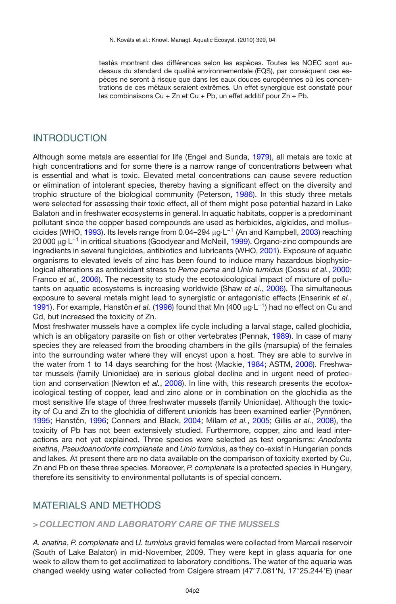testés montrent des différences selon les espèces. Toutes les NOEC sont audessus du standard de qualité environnementale (EQS), par conséquent ces espèces ne seront à risque que dans les eaux douces européennes où les concentrations de ces métaux seraient extrêmes. Un effet synergique est constaté pour les combinaisons Cu + Zn et Cu + Pb, un effet additif pour Zn + Pb.

### INTRODUCTION

Although some metals are essential for life (Engel and Sunda, [1979](#page-6-0)), all metals are toxic at high concentrations and for some there is a narrow range of concentrations between what is essential and what is toxic. Elevated metal concentrations can cause severe reduction or elimination of intolerant species, thereby having a significant effect on the diversity and trophic structure of the biological community (Peterson, [1986\)](#page-6-1). In this study three metals were selected for assessing their toxic effect, all of them might pose potential hazard in Lake Balaton and in freshwater ecosystems in general. In aquatic habitats, copper is a predominant pollutant since the copper based compounds are used as herbicides, algicides, and molluscicides (WHO, [1993](#page-7-0)). Its levels range from 0.04–294 <sup>µ</sup>g·L−<sup>1</sup> (An and Kampbell, [2003](#page-5-0)) reaching 20 000 μg⋅L<sup>−1</sup> in critical situations (Goodyear and McNeill, [1999](#page-6-2)). Organo-zinc compounds are ingredients in several fungicides, antibiotics and lubricants (WHO, [2001](#page-7-1)). Exposure of aquatic organisms to elevated levels of zinc has been found to induce many hazardous biophysiological alterations as antioxidant stress to *Perna perna* and *Unio tumidus* (Cossu *et al.*, [2000;](#page-5-1) Franco *et al.*, [2006](#page-6-3)). The necessity to study the ecotoxicological impact of mixture of pollutants on aquatic ecosystems is increasing worldwide (Shaw *et al.*, [2006\)](#page-7-2). The simultaneous exposure to several metals might lead to synergistic or antagonistic effects (Enserink *et al.*, [1991\)](#page-6-4). For example, Hanstčn et al. [\(1996\)](#page-6-5) found that Mn (400 µg·L<sup>-1</sup>) had no effect on Cu and Cd, but increased the toxicity of Zn.

Most freshwater mussels have a complex life cycle including a larval stage, called glochidia, which is an obligatory parasite on fish or other vertebrates (Pennak, [1989\)](#page-6-6). In case of many species they are released from the brooding chambers in the gills (marsupia) of the females into the surrounding water where they will encyst upon a host. They are able to survive in the water from 1 to 14 days searching for the host (Mackie, [1984;](#page-6-7) ASTM, [2006\)](#page-5-2). Freshwater mussels (family Unionidae) are in serious global decline and in urgent need of protection and conservation (Newton *et al.*, [2008\)](#page-6-8). In line with, this research presents the ecotoxicological testing of copper, lead and zinc alone or in combination on the glochidia as the most sensitive life stage of three freshwater mussels (family Unionidae). Although the toxicity of Cu and Zn to the glochidia of different unionids has been examined earlier (Pynnönen, [1995;](#page-7-3) Hanstčn, [1996](#page-6-5); Conners and Black, [2004](#page-5-3); Milam *et al.*, [2005;](#page-6-9) Gillis *et al.*, [2008](#page-6-10)), the toxicity of Pb has not been extensively studied. Furthermore, copper, zinc and lead interactions are not yet explained. Three species were selected as test organisms: *Anodonta anatina*, *Pseudoanodonta complanata* and *Unio tumidus*, as they co-exist in Hungarian ponds and lakes. At present there are no data available on the comparison of toxicity exerted by Cu, Zn and Pb on these three species. Moreover, *P. complanata* is a protected species in Hungary, therefore its sensitivity to environmental pollutants is of special concern.

### MATERIALS AND METHODS

#### *> COLLECTION AND LABORATORY CARE OF THE MUSSELS*

*A. anatina*, *P. complanata* and *U. tumidus* gravid females were collected from Marcali reservoir (South of Lake Balaton) in mid-November, 2009. They were kept in glass aquaria for one week to allow them to get acclimatized to laboratory conditions. The water of the aquaria was changed weekly using water collected from Csigere stream (47◦7.081'N, 17◦25.244'E) (near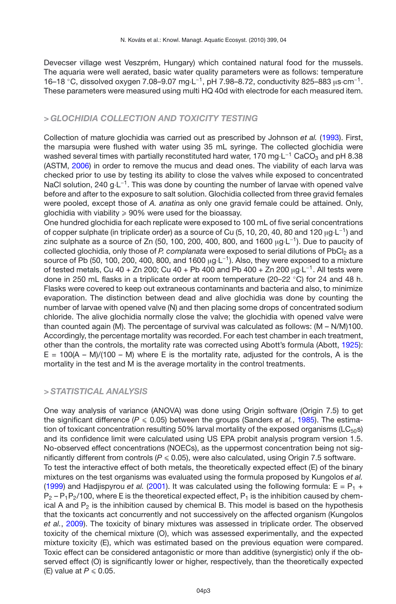Devecser village west Veszprém, Hungary) which contained natural food for the mussels. The aquaria were well aerated, basic water quality parameters were as follows: temperature 16–18 ◦C, dissolved oxygen 7.08–9.07 mg·L−1, pH 7.98–8.72, conductivity 825–883 <sup>µ</sup>s·cm−1. These parameters were measured using multi HQ 40d with electrode for each measured item.

#### *> GLOCHIDIA COLLECTION AND TOXICITY TESTING*

Collection of mature glochidia was carried out as prescribed by Johnson *et al.* [\(1993\)](#page-6-11). First, the marsupia were flushed with water using 35 mL syringe. The collected glochidia were washed several times with partially reconstituted hard water, 170 mg⋅L<sup>-1</sup> CaCO<sub>3</sub> and pH 8.38 (ASTM, [2006\)](#page-5-2) in order to remove the mucus and dead ones. The viability of each larva was checked prior to use by testing its ability to close the valves while exposed to concentrated NaCl solution, 240 g⋅L<sup>-1</sup>. This was done by counting the number of larvae with opened valve before and after to the exposure to salt solution. Glochidia collected from three gravid females were pooled, except those of *A. anatina* as only one gravid female could be attained. Only, glochidia with viability  $\geqslant 90\%$  were used for the bioassay.

One hundred glochidia for each replicate were exposed to 100 mL of five serial concentrations of copper sulphate (in triplicate order) as a source of Cu (5, 10, 20, 40, 80 and 120 <sup>µ</sup>g·L−1) and zinc sulphate as a source of Zn (50, 100, 200, 400, 800, and 1600  $\mu$ g·L<sup>-1</sup>). Due to paucity of collected glochidia, only those of *P. complanata* were exposed to serial dilutions of PbCl<sub>2</sub> as a source of Pb (50, 100, 200, 400, 800, and 1600  $\mu$ g·L<sup>-1</sup>). Also, they were exposed to a mixture of tested metals, Cu 40 + Zn 200; Cu 40 + Pb 400 and Pb 400 + Zn 200  $\mu q \cdot L^{-1}$ . All tests were done in 250 mL flasks in a triplicate order at room temperature (20–22 ◦C) for 24 and 48 h. Flasks were covered to keep out extraneous contaminants and bacteria and also, to minimize evaporation. The distinction between dead and alive glochidia was done by counting the number of larvae with opened valve (N) and then placing some drops of concentrated sodium chloride. The alive glochidia normally close the valve; the glochidia with opened valve were than counted again (M). The percentage of survival was calculated as follows: (M – N/M)100. Accordingly, the percentage mortality was recorded. For each test chamber in each treatment, other than the controls, the mortality rate was corrected using Abott's formula (Abott, [1925](#page-5-4)):  $E = 100(A - M)/(100 - M)$  where E is the mortality rate, adjusted for the controls, A is the mortality in the test and M is the average mortality in the control treatments.

### *> STATISTICAL ANALYSIS*

One way analysis of variance (ANOVA) was done using Origin software (Origin 7.5) to get the significant difference ( $P \le 0.05$ ) between the groups (Sanders *et al.*, [1985](#page-7-4)). The estimation of toxicant concentration resulting  $50\%$  larval mortality of the exposed organisms ( $LC_{50}$ s) and its confidence limit were calculated using US EPA probit analysis program version 1.5. No-observed effect concentrations (NOECs), as the uppermost concentration being not significantly different from controls ( $P \le 0.05$ ), were also calculated, using Origin 7.5 software. To test the interactive effect of both metals, the theoretically expected effect (E) of the binary mixtures on the test organisms was evaluated using the formula proposed by Kungolos *et al.* [\(1999](#page-6-12)) and Hadjispyrou *et al.* [\(2001\)](#page-6-13). It was calculated using the following formula:  $E = P_1 +$  $P_2 - P_1P_2/100$ , where E is the theoretical expected effect,  $P_1$  is the inhibition caused by chemical A and  $P_2$  is the inhibition caused by chemical B. This model is based on the hypothesis that the toxicants act concurrently and not successively on the affected organism (Kungolos *et al.*, [2009](#page-6-14)). The toxicity of binary mixtures was assessed in triplicate order. The observed toxicity of the chemical mixture (O), which was assessed experimentally, and the expected mixture toxicity (E), which was estimated based on the previous equation were compared. Toxic effect can be considered antagonistic or more than additive (synergistic) only if the observed effect (O) is significantly lower or higher, respectively, than the theoretically expected (E) value at  $P \le 0.05$ .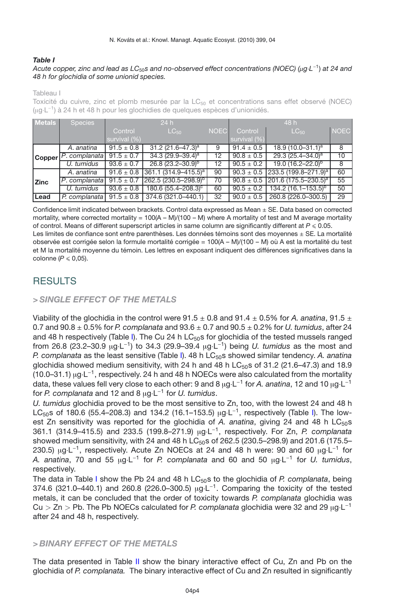#### <span id="page-3-0"></span>*Table I*

#### *Acute copper, zinc and lead as LC*50*s and no-observed effect concentrations (NOEC) (*µ*g*·*L*−1) *at 24 and 48 h for glochidia of some unionid species.*

Tableau I

Toxicité du cuivre, zinc et plomb mesurée par la LC<sub>50</sub> et concentrations sans effet observé (NOEC) (µg·L−1) à 24 h et 48 h pour les glochidies de quelques espèces d'unionidés.

| <b>Metals</b> | <b>Species</b> | 24h            |                            | 48 h              |                |                                                 |             |
|---------------|----------------|----------------|----------------------------|-------------------|----------------|-------------------------------------------------|-------------|
|               |                | Control        | $LC_{50}$                  | <b>NOEC</b>       | Control        | $LC_{50}$                                       | <b>NOEC</b> |
|               |                | survival (%)   |                            |                   | survival (%)   |                                                 |             |
| <b>Copper</b> | A. anatina     | $91.5 \pm 0.8$ | 31.2 $(21.6 - 47.3)^a$     | 9                 | $91.4 \pm 0.5$ | $18.9(10.0 - 31.1)^a$                           | 8           |
|               | P. complanata  | $91.5 \pm 0.7$ | 34.3 $(29.9 - 39.4)^a$     | $12 \overline{ }$ | $90.8 \pm 0.5$ | 29.3 $(25.4 - 34.0)^a$                          | 10          |
|               | U. tumidus     | $93.6 \pm 0.7$ | $26.8(23.2 - 30.9)^{p}$    | 12 <sup>°</sup>   | $90.5 \pm 0.2$ | $19.0 (16.2 - 22.0)^{p}$                        | 8           |
| <b>Zinc</b>   | A. anatina     | $91.6 \pm 0.8$ | $361.1 (314.9 - 415.5)^a$  | 90                |                | $90.3 \pm 0.5$ 233.5 (199.8-271.9) <sup>a</sup> | 60          |
|               | P. complanata  | $91.5 \pm 0.7$ | $262.5(230.5 - 298.9)^{p}$ | 70                |                | $90.8 \pm 0.5$ 201.6 (175.5–230.5) <sup>a</sup> | 55          |
|               | U. tumidus     | $93.6 \pm 0.8$ | $180.6(55.4 - 208.3)^c$    | 60                | $90.5 \pm 0.2$ | 134.2 $(16.1 - 153.5)^{b}$                      | 50          |
| Lead          | P. complanata  | $91.5 \pm 0.8$ | 374.6 (321.0-440.1)        | 32                | $90.0 \pm 0.5$ | 260.8 (226.0-300.5)                             | 29          |

Confidence limit indicated between brackets. Control data expressed as Mean ± SE. Data based on corrected mortality, where corrected mortality =  $100(A - M)/(100 - M)$  where A mortality of test and M average mortality of control. Means of different superscript articles in same column are significantly different at  $P \le 0.05$ . Les limites de confiance sont entre parenthèses. Les données témoins sont des moyennes  $\pm$  SE. La mortalité

observée est corrigée selon la formule mortalité corrigée = 100(A – M)/(100 – M) où A est la mortalité du test et M la mortalité moyenne du témoin. Les lettres en exposant indiquent des différences significatives dans la colonne  $(P \le 0.05)$ .

## RESULTS

### *> SINGLE EFFECT OF THE METALS*

Viability of the glochidia in the control were  $91.5 \pm 0.8$  and  $91.4 \pm 0.5$ % for *A. anatina*,  $91.5 \pm 0.6$ 0.7 and  $90.8 \pm 0.5\%$  for *P. complanata* and  $93.6 \pm 0.7$  and  $90.5 \pm 0.2\%$  for *U. tumidus*, after 24 and 48 h respectively (Table [I\)](#page-3-0). The Cu 24 h  $LC_{50}$ s for glochidia of the tested mussels ranged from 26.8 (23.2–30.9 <sup>µ</sup>g·L−1) to 34.3 (29.9–39.4 <sup>µ</sup>g·L−1) being *U. tumidus* as the most and *P. complanata* as the least sensitive (Table [I\)](#page-3-0). 48 h LC50s showed similar tendency. *A. anatina* glochidia showed medium sensitivity, with 24 h and 48 h LC $_{50}$ s of 31.2 (21.6–47.3) and 18.9 (10.0–31.1)  $\mu$ g·L<sup>-1</sup>, respectively. 24 h and 48 h NOECs were also calculated from the mortality data, these values fell very close to each other: 9 and 8 <sup>µ</sup>g·L−<sup>1</sup> for *A. anatina*, 12 and 10 <sup>µ</sup>g·L−<sup>1</sup> for *P. complanata* and 12 and 8 <sup>µ</sup>g·L−<sup>1</sup> for *U. tumidus*.

*U. tumidus* glochidia proved to be the most sensitive to Zn, too, with the lowest 24 and 48 h LC<sub>50</sub>s of 180.6 (55.4–208.3) and 134.2 (16.1–153.5) µg⋅L<sup>-1</sup>, respectively (Table [I\)](#page-3-0). The lowest Zn sensitivity was reported for the glochidia of A. anatina, giving 24 and 48 h  $LC_{50}$ s 361.1 (314.9–415.5) and 233.5 (199.8–271.9) <sup>µ</sup>g·L−1, respectively. For Zn, *P. complanata* showed medium sensitivity, with 24 and 48 h LC $_{50}$ s of 262.5 (230.5–298.9) and 201.6 (175.5– 230.5) µg⋅L<sup>-1</sup>, respectively. Acute Zn NOECs at 24 and 48 h were: 90 and 60 µg⋅L<sup>-1</sup> for *A. anatina*, 70 and 55 <sup>µ</sup>g·L−<sup>1</sup> for *P. complanata* and 60 and 50 <sup>µ</sup>g·L−<sup>1</sup> for *U. tumidus*, respectively.

The data in Table [I](#page-3-0) show the Pb 24 and 48 h LC<sub>50</sub>s to the glochidia of *P. complanata*, being 374.6 (321.0–440.1) and 260.8 (226.0–300.5) µg⋅L<sup>-1</sup>. Comparing the toxicity of the tested metals, it can be concluded that the order of toxicity towards *P. complanata* glochidia was Cu *<sup>&</sup>gt;* Zn *<sup>&</sup>gt;* Pb. The Pb NOECs calculated for *P. complanata* glochidia were 32 and 29 <sup>µ</sup>g·L−<sup>1</sup> after 24 and 48 h, respectively.

#### *> BINARY EFFECT OF THE METALS*

The data presented in Table [II](#page-4-0) show the binary interactive effect of Cu, Zn and Pb on the glochidia of *P. complanata.* The binary interactive effect of Cu and Zn resulted in significantly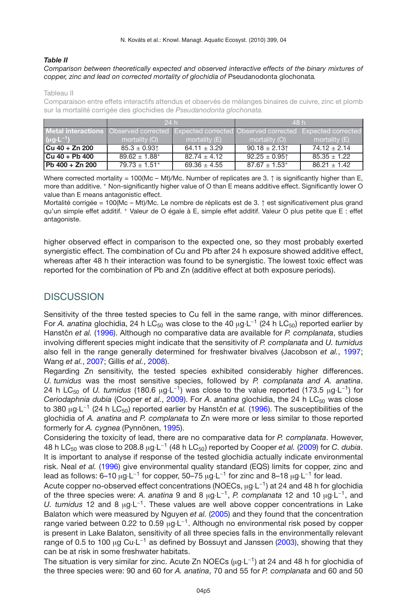#### <span id="page-4-0"></span>*Table II*

#### *Comparison between theoretically expected and observed interactive effects of the binary mixtures of copper, zinc and lead on corrected mortality of glochidia of* Pseudanodonta glochonata*.*

Tableau II

Comparaison entre effets interactifs attendus et observés de mélanges binaires de cuivre, zinc et plomb sur la mortalité corrigée des glochidies de *Pseudanodonta glochonata.*

|                        | 24h                                                                                                   |                  | 48 h                          |                  |  |
|------------------------|-------------------------------------------------------------------------------------------------------|------------------|-------------------------------|------------------|--|
|                        | <b>Metal interactions</b> Observed corrected Expected corrected Observed corrected Expected corrected |                  |                               |                  |  |
| $(\mu g \cdot L^{-1})$ | mortality (O)                                                                                         | mortality $(E)$  | mortality (O)                 | mortality (E)    |  |
| Cu 40 + Zn 200         | $85.3 \pm 0.93$ <sup>1</sup>                                                                          | $64.11 \pm 3.29$ | $90.18 \pm 2.13$              | $74.12 \pm 2.14$ |  |
| $ Cu 40 + Pb 400$      | $89.62 \pm 1.88^+$                                                                                    | $82.74 \pm 4.12$ | $92.25 \pm 0.95$ <sup>1</sup> | $85.35 \pm 1.22$ |  |
| Pb 400 + Zn 200        | $79.73 \pm 1.51$ <sup>+</sup>                                                                         | $69.36 \pm 4.55$ | $87.67 \pm 1.53^+$            | $86.21 \pm 1.42$ |  |

Where corrected mortality = 100(Mc – Mt)/Mc. Number of replicates are 3.  $\uparrow$  is significantly higher than E, more than additive. <sup>+</sup> Non-significantly higher value of O than E means additive effect. Significantly lower O value than E means antagonistic effect.

Mortalité corrigée = 100(Mc – Mt)/Mc. Le nombre de réplicats est de 3. ↑ est significativement plus grand qu'un simple effet additif. <sup>+</sup> Valeur de O égale à E, simple effet additif. Valeur O plus petite que E : effet antagoniste.

higher observed effect in comparison to the expected one, so they most probably exerted synergistic effect. The combination of Cu and Pb after 24 h exposure showed additive effect, whereas after 48 h their interaction was found to be synergistic. The lowest toxic effect was reported for the combination of Pb and Zn (additive effect at both exposure periods).

## **DISCUSSION**

Sensitivity of the three tested species to Cu fell in the same range, with minor differences. For *A. anatina* glochidia, 24 h LC<sub>50</sub> was close to the 40 ug·L<sup>-1</sup> (24 h LC<sub>50</sub>) reported earlier by Hanstčn et al. [\(1996](#page-6-5)). Although no comparative data are available for *P. complanata*, studies involving different species might indicate that the sensitivity of *P. complanata* and *U. tumidus* also fell in the range generally determined for freshwater bivalves (Jacobson *et al.*, [1997;](#page-6-15) Wang *et al.*, [2007](#page-7-5); Gillis *et al.*, [2008\)](#page-6-10).

Regarding Zn sensitivity, the tested species exhibited considerably higher differences. *U. tumidus* was the most sensitive species, followed by *P. complanata and A. anatina*. 24 h LC<sub>50</sub> of *U. tumidus* (180.6 µg⋅L<sup>-1</sup>) was close to the value reported (173.5 µg⋅L<sup>-1</sup>) for *Ceriodaphnia dubia* (Cooper *et al.*, [2009\)](#page-5-5). For *A. anatina* glochidia, the 24 h LC<sub>50</sub> was close to 380 μg·L<sup>-1</sup> (24 h LC<sub>50</sub>) reported earlier by Hanstčn *et al.* [\(1996](#page-6-5)). The susceptibilities of the glochidia of *A. anatina* and *P. complanata* to Zn were more or less similar to those reported formerly for *A. cygnea* (Pynnönen, [1995](#page-7-3)).

Considering the toxicity of lead, there are no comparative data for *P. complanata*. However, 48 h LC50 was close to 208.8 <sup>µ</sup>g·L−<sup>1</sup> (48 h LC50) reported by Cooper *et al.* [\(2009\)](#page-5-5) for *C. dubia*. It is important to analyse if response of the tested glochidia actually indicate environmental risk. Neal *et al.* [\(1996](#page-6-16)) give environmental quality standard (EQS) limits for copper, zinc and lead as follows: 6–10 μg⋅L<sup>-1</sup> for copper, 50–75 μg⋅L<sup>-1</sup> for zinc and 8–18 μg⋅L<sup>-1</sup> for lead.

Acute copper no-observed effect concentrations (NOECs, μg⋅L<sup>-1</sup>) at 24 and 48 h for glochidia of the three species were: *A. anatina* 9 and 8 <sup>µ</sup>g·L−1, *P. complanata* 12 and 10 <sup>µ</sup>g·L−1, and *U. tumidus* 12 and 8 µg⋅L<sup>-1</sup>. These values are well above copper concentrations in Lake Balaton which were measured by Nguyen *et al.* [\(2005\)](#page-6-17) and they found that the concentration range varied between 0.22 to 0.59 μg⋅L<sup>-1</sup>. Although no environmental risk posed by copper is present in Lake Balaton, sensitivity of all three species falls in the environmentally relevant range of 0.5 to 100 µg Cu $\text{L}^{-1}$  as defined by Bossuyt and Janssen [\(2003\)](#page-5-6), showing that they can be at risk in some freshwater habitats.

The situation is very similar for zinc. Acute Zn NOECs (µg⋅L<sup>-1</sup>) at 24 and 48 h for glochidia of the three species were: 90 and 60 for *A. anatina*, 70 and 55 for *P. complanata* and 60 and 50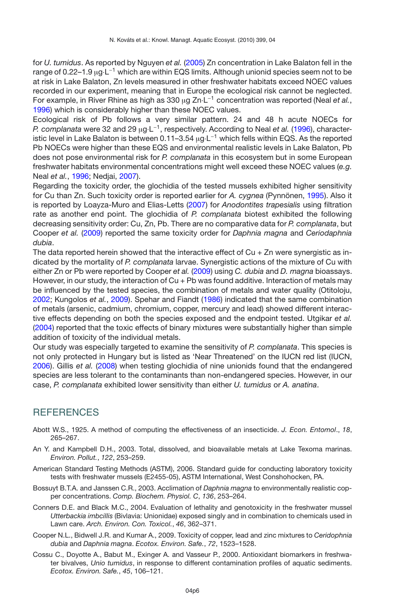for *U. tumidus*. As reported by Nguyen *et al.* [\(2005\)](#page-6-17) Zn concentration in Lake Balaton fell in the range of 0.22–1.9 µg·L<sup>−1</sup> which are within EQS limits. Although unionid species seem not to be at risk in Lake Balaton, Zn levels measured in other freshwater habitats exceed NOEC values recorded in our experiment, meaning that in Europe the ecological risk cannot be neglected. For example, in River Rhine as high as 330 <sup>µ</sup>g Zn·L−<sup>1</sup> concentration was reported (Neal *et al.*, [1996\)](#page-6-16) which is considerably higher than these NOEC values.

Ecological risk of Pb follows a very similar pattern. 24 and 48 h acute NOECs for *P. complanata* were 32 and 29 <sup>µ</sup>g·L−1, respectively. According to Neal *et al.* [\(1996](#page-6-16)), characteristic level in Lake Balaton is between 0.11–3.54  $\mu$ g⋅L<sup>-1</sup> which fells within EQS. As the reported Pb NOECs were higher than these EQS and environmental realistic levels in Lake Balaton, Pb does not pose environmental risk for *P. complanata* in this ecosystem but in some European freshwater habitats environmental concentrations might well exceed these NOEC values (*e.g.* Neal *et al.*, [1996](#page-6-16); Nedjai, [2007\)](#page-6-18).

Regarding the toxicity order, the glochidia of the tested mussels exhibited higher sensitivity for Cu than Zn. Such toxicity order is reported earlier for *A. cygnea* (Pynnönen, [1995\)](#page-7-3). Also it is reported by Loayza-Muro and Elias-Letts [\(2007\)](#page-6-19) for *Anodontites trapesialis* using filtration rate as another end point. The glochidia of *P. complanata* biotest exhibited the following decreasing sensitivity order: Cu, Zn, Pb. There are no comparative data for *P. complanata*, but Cooper *et al.* [\(2009\)](#page-5-5) reported the same toxicity order for *Daphnia magna* and *Ceriodaphnia dubia*.

The data reported herein showed that the interactive effect of  $Cu + Zn$  were synergistic as indicated by the mortality of *P. complanata* larvae. Synergistic actions of the mixture of Cu with either Zn or Pb were reported by Cooper *et al.* [\(2009](#page-5-5)) using *C. dubia* and *D. magna* bioassays. However, in our study, the interaction of Cu + Pb was found additive. Interaction of metals may be influenced by the tested species, the combination of metals and water quality (Otitoloju, [2002;](#page-6-20) Kungolos *et al.*, [2009](#page-6-14)). Spehar and Fiandt [\(1986](#page-7-6)) indicated that the same combination of metals (arsenic, cadmium, chromium, copper, mercury and lead) showed different interactive effects depending on both the species exposed and the endpoint tested. Utgikar *et al.* [\(2004](#page-7-7)) reported that the toxic effects of binary mixtures were substantially higher than simple addition of toxicity of the individual metals.

Our study was especially targeted to examine the sensitivity of *P. complanata*. This species is not only protected in Hungary but is listed as 'Near Threatened' on the IUCN red list (IUCN, [2006\)](#page-6-21). Gillis *et al.* [\(2008](#page-6-10)) when testing glochidia of nine unionids found that the endangered species are less tolerant to the contaminants than non-endangered species. However, in our case, *P. complanata* exhibited lower sensitivity than either *U. tumidus* or *A. anatina*.

## **REFERENCES**

- <span id="page-5-4"></span>Abott W.S., 1925. A method of computing the effectiveness of an insecticide. *J. Econ. Entomol*., *18*, 265–267.
- <span id="page-5-0"></span>An Y. and Kampbell D.H., 2003. Total, dissolved, and bioavailable metals at Lake Texoma marinas. *Environ. Pollut.*, *122*, 253–259.
- <span id="page-5-2"></span>American Standard Testing Methods (ASTM), 2006. Standard guide for conducting laboratory toxicity tests with freshwater mussels (E2455-05), ASTM International, West Conshohocken, PA.
- <span id="page-5-6"></span>Bossuyt B.T.A. and Janssen C.R., 2003. Acclimation of *Daphnia magna* to environmentally realistic copper concentrations. *Comp. Biochem. Physiol. C*, *136*, 253–264.
- <span id="page-5-3"></span>Conners D.E. and Black M.C., 2004. Evaluation of lethality and genotoxicity in the freshwater mussel *Utterbackia imbcillis* (Bivlavia: Unionidae) exposed singly and in combination to chemicals used in Lawn care. *Arch. Environ. Con. Toxicol.*, *46*, 362–371.
- <span id="page-5-5"></span>Cooper N.L., Bidwell J.R. and Kumar A., 2009. Toxicity of copper, lead and zinc mixtures to *Ceridophnia dubia* and *Daphnia magna*. *Ecotox. Environ. Safe.*, *72*, 1523–1528.
- <span id="page-5-1"></span>Cossu C., Doyotte A., Babut M., Exinger A. and Vasseur P., 2000. Antioxidant biomarkers in freshwater bivalves, *Unio tumidus*, in response to different contamination profiles of aquatic sediments. *Ecotox. Environ. Safe.*, *45*, 106–121.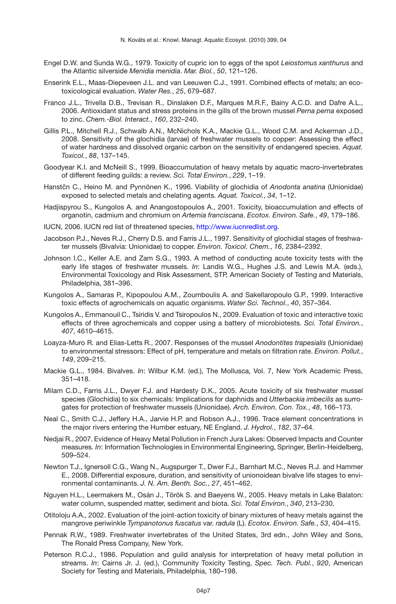- <span id="page-6-0"></span>Engel D.W. and Sunda W.G., 1979. Toxicity of cupric ion to eggs of the spot *Leiostomus xanthurus* and the Atlantic silverside *Menidia menidia*. *Mar. Biol.*, *50*, 121–126.
- <span id="page-6-4"></span>Enserink E.L., Maas-Diepeveen J.L. and van Leeuwen C.J., 1991. Combined effects of metals; an ecotoxicological evaluation. *Water Res.*, *25*, 679–687.
- <span id="page-6-3"></span>Franco J.L., Trivella D.B., Trevisan R., Dinslaken D.F., Marques M.R.F., Bainy A.C.D. and Dafre A.L., 2006. Antioxidant status and stress proteins in the gills of the brown mussel *Perna perna* exposed to zinc. *Chem.-Biol. Interact.*, *160*, 232–240.
- <span id="page-6-10"></span>Gillis P.L., Mitchell R.J., Schwalb A.N., McNichols K.A., Mackie G.L., Wood C.M. and Ackerman J.D., 2008. Sensitivity of the glochidia (larvae) of freshwater mussels to copper: Assessing the effect of water hardness and dissolved organic carbon on the sensitivity of endangered species. *Aquat. Toxicol.*, *88*, 137–145.
- <span id="page-6-2"></span>Goodyear K.I. and McNeill S., 1999. Bioaccumulation of heavy metals by aquatic macro-invertebrates of different feeding guilds: a review. *Sci. Total Environ.*, *229*, 1–19.
- <span id="page-6-5"></span>Hanstčn C., Heino M. and Pynnönen K., 1996. Viability of glochidia of Anodonta anatina (Unionidae) exposed to selected metals and chelating agents. *Aquat. Toxicol.*, *34*, 1–12.
- <span id="page-6-13"></span>Hadjispyrou S., Kungolos A. and Anangostopoulos A., 2001. Toxicity, bioaccumulation and effects of organotin, cadmium and chromium on *Artemia franciscana*. *Ecotox. Environ. Safe.*, *49*, 179–186.
- <span id="page-6-21"></span>IUCN, 2006. IUCN red list of threatened species, [http://www.iucnredlist.org.](http://www.iucnredlist.org)
- <span id="page-6-15"></span>Jacobson P.J., Neves R.J., Cherry D.S. and Farris J.L., 1997. Sensitivity of glochidial stages of freshwater mussels (Bivalvia: Unionidae) to copper. *Environ. Toxicol. Chem.*, *16*, 2384–2392.
- <span id="page-6-11"></span>Johnson I.C., Keller A.E. and Zam S.G., 1993. A method of conducting acute toxicity tests with the early life stages of freshwater mussels. *In*: Landis W.G., Hughes J.S. and Lewis M.A. (eds.), Environmental Toxicology and Risk Assessment, STP, American Society of Testing and Materials, Philadelphia, 381–396.
- <span id="page-6-12"></span>Kungolos A., Samaras P., Kipopoulou A.M., Zoumboulis A. and Sakellaropoulo G.P., 1999. Interactive toxic effects of agrochemicals on aquatic organisms. *Water Sci. Technol.*, *40*, 357–364.
- <span id="page-6-14"></span>Kungolos A., Emmanouil C., Tsiridis V. and Tsiropoulos N., 2009. Evaluation of toxic and interactive toxic effects of three agrochemicals and copper using a battery of microbiotests. *Sci. Total Environ.*, *407*, 4610–4615.
- <span id="page-6-19"></span>Loayza-Muro R. and Elias-Letts R., 2007. Responses of the mussel *Anodontites trapesialis* (Unionidae) to environmental stressors: Effect of pH, temperature and metals on filtration rate. *Environ. Pollut.*, *149*, 209–215.
- <span id="page-6-7"></span>Mackie G.L., 1984. Bivalves. *In*: Wilbur K.M. (ed.), The Mollusca, Vol. 7, New York Academic Press, 351–418.
- <span id="page-6-9"></span>Milam C.D., Farris J.L., Dwyer F.J. and Hardesty D.K., 2005. Acute toxicity of six freshwater mussel species (Glochidia) to six chemicals: Implications for daphnids and *Utterbackia imbecilis* as surrogates for protection of freshwater mussels (Unionidae). *Arch. Environ. Con. Tox.*, *48*, 166–173.
- <span id="page-6-16"></span>Neal C., Smith C.J., Jeffery H.A., Jarvie H.P. and Robson A.J., 1996. Trace element concentrations in the major rivers entering the Humber estuary, NE England. *J. Hydrol.*, *182*, 37–64.
- <span id="page-6-18"></span>Nedjai R., 2007. Evidence of Heavy Metal Pollution in French Jura Lakes: Observed Impacts and Counter measures. *In*: Information Technologies in Environmental Engineering, Springer, Berlin-Heidelberg, 509–524.
- <span id="page-6-8"></span>Newton T.J., Ignersoll C.G., Wang N., Augspurger T., Dwer F.J., Barnhart M.C., Neves R.J. and Hammer E., 2008. Differential exposure, duration, and sensitivity of unionoidean bivalve life stages to environmental contaminants. *J. N. Am. Benth. Soc.*, *27*, 451–462.
- <span id="page-6-17"></span>Nguyen H.L., Leermakers M., Osán J., Török S. and Baeyens W., 2005. Heavy metals in Lake Balaton: water column, suspended matter, sediment and biota. *Sci. Total Environ.*, *340*, 213–230.
- <span id="page-6-20"></span>Otitoloju A.A., 2002. Evaluation of the joint-action toxicity of binary mixtures of heavy metals against the mangrove periwinkle *Tympanotonus fuscatus* var. *radula* (L). *Ecotox. Environ. Safe.*, *53*, 404–415.
- <span id="page-6-6"></span>Pennak R.W., 1989. Freshwater invertebrates of the United States, 3rd edn., John Wiley and Sons, The Ronald Press Company, New York.
- <span id="page-6-1"></span>Peterson R.C.J., 1986. Population and guild analysis for interpretation of heavy metal pollution in streams. *In*: Cairns Jr. J. (ed.), Community Toxicity Testing, *Spec. Tech. Publ.*, *920*, American Society for Testing and Materials, Philadelphia, 180–198.